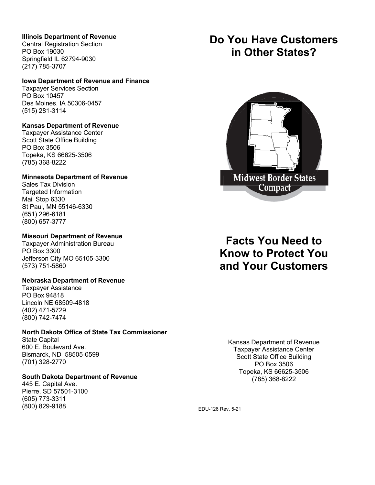## **Illinois Department of Revenue**

Central Registration Section PO Box 19030 Springfield IL 62794-9030 (217) 785-3707

### **Iowa Department of Revenue and Finance**

Taxpayer Services Section PO Box 10457 Des Moines, IA 50306-0457 (515) 281-3114

### **Kansas Department of Revenue**

Taxpayer Assistance Center Scott State Office Building PO Box 3506 Topeka, KS 66625-3506 (785) 368-8222

### **Minnesota Department of Revenue**

Sales Tax Division Targeted Information Mail Stop 6330 St Paul, MN 55146-6330 (651) 296-6181 (800) 657-3777

## **Missouri Department of Revenue**

Taxpayer Administration Bureau PO Box 3300 Jefferson City MO 65105-3300 (573) 751-5860

### **Nebraska Department of Revenue**

Taxpayer Assistance PO Box 94818 Lincoln NE 68509-4818 (402) 471-5729 (800) 742-7474

### **North Dakota Office of State Tax Commissioner**

State Capital 600 E. Boulevard Ave. Bismarck, ND 58505-0599 (701) 328-2770

# **South Dakota Department of Revenue**

445 E. Capital Ave. Pierre, SD 57501-3100 (605) 773-3311 (800) 829-9188

# **Do You Have Customers in Other States?**



# **Facts You Need to Know to Protect You and Your Customers**

Kansas Department of Revenue Taxpayer Assistance Center Scott State Office Building PO Box 3506 Topeka, KS 66625-3506 (785) 368-8222

EDU-126 Rev. 5-21